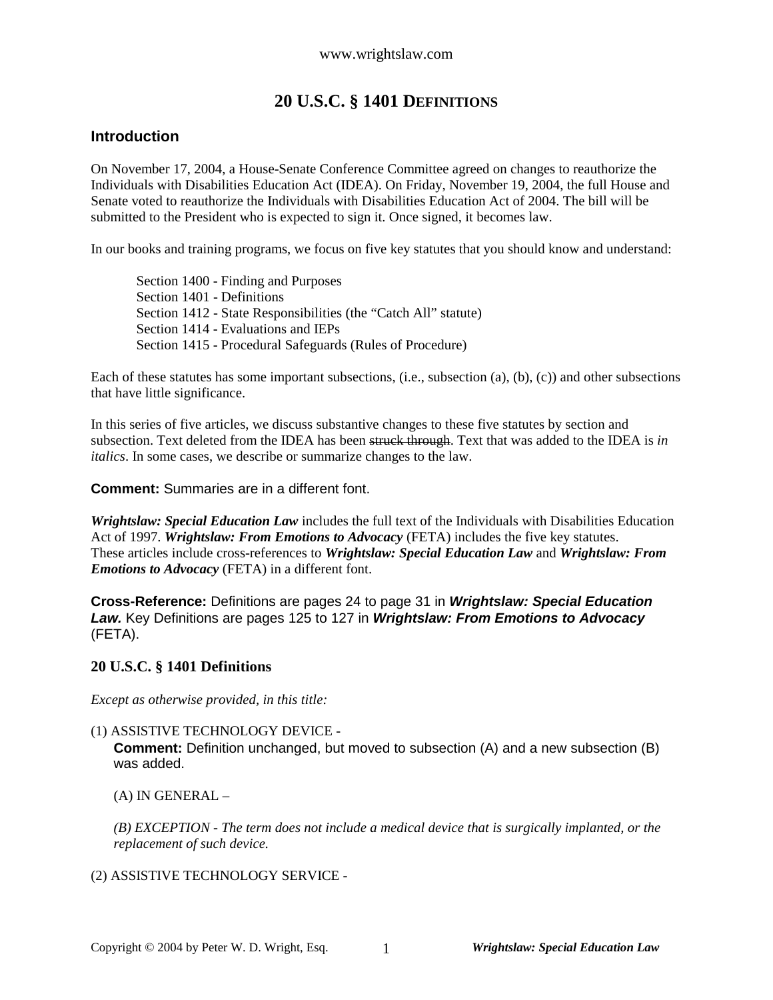# **20 U.S.C. § 1401 DEFINITIONS**

## **Introduction**

On November 17, 2004, a House-Senate Conference Committee agreed on changes to reauthorize the Individuals with Disabilities Education Act (IDEA). On Friday, November 19, 2004, the full House and Senate voted to reauthorize the Individuals with Disabilities Education Act of 2004. The bill will be submitted to the President who is expected to sign it. Once signed, it becomes law.

In our books and training programs, we focus on five key statutes that you should know and understand:

Section 1400 - Finding and Purposes Section 1401 - Definitions Section 1412 - State Responsibilities (the "Catch All" statute) Section 1414 - Evaluations and IEPs Section 1415 - Procedural Safeguards (Rules of Procedure)

Each of these statutes has some important subsections, (i.e., subsection (a), (b), (c)) and other subsections that have little significance.

In this series of five articles, we discuss substantive changes to these five statutes by section and subsection. Text deleted from the IDEA has been struck through. Text that was added to the IDEA is *in italics*. In some cases, we describe or summarize changes to the law.

**Comment:** Summaries are in a different font.

*Wrightslaw: Special Education Law* includes the full text of the Individuals with Disabilities Education Act of 1997. *Wrightslaw: From Emotions to Advocacy* (FETA) includes the five key statutes. These articles include cross-references to *Wrightslaw: Special Education Law* and *Wrightslaw: From Emotions to Advocacy* (FETA) in a different font.

**Cross-Reference:** Definitions are pages 24 to page 31 in *Wrightslaw: Special Education Law.* Key Definitions are pages 125 to 127 in *Wrightslaw: From Emotions to Advocacy* (FETA).

### **20 U.S.C. § 1401 Definitions**

*Except as otherwise provided, in this title:* 

(1) ASSISTIVE TECHNOLOGY DEVICE -

**Comment:** Definition unchanged, but moved to subsection (A) and a new subsection (B) was added.

(A) IN GENERAL –

*(B) EXCEPTION - The term does not include a medical device that is surgically implanted, or the replacement of such device.* 

(2) ASSISTIVE TECHNOLOGY SERVICE -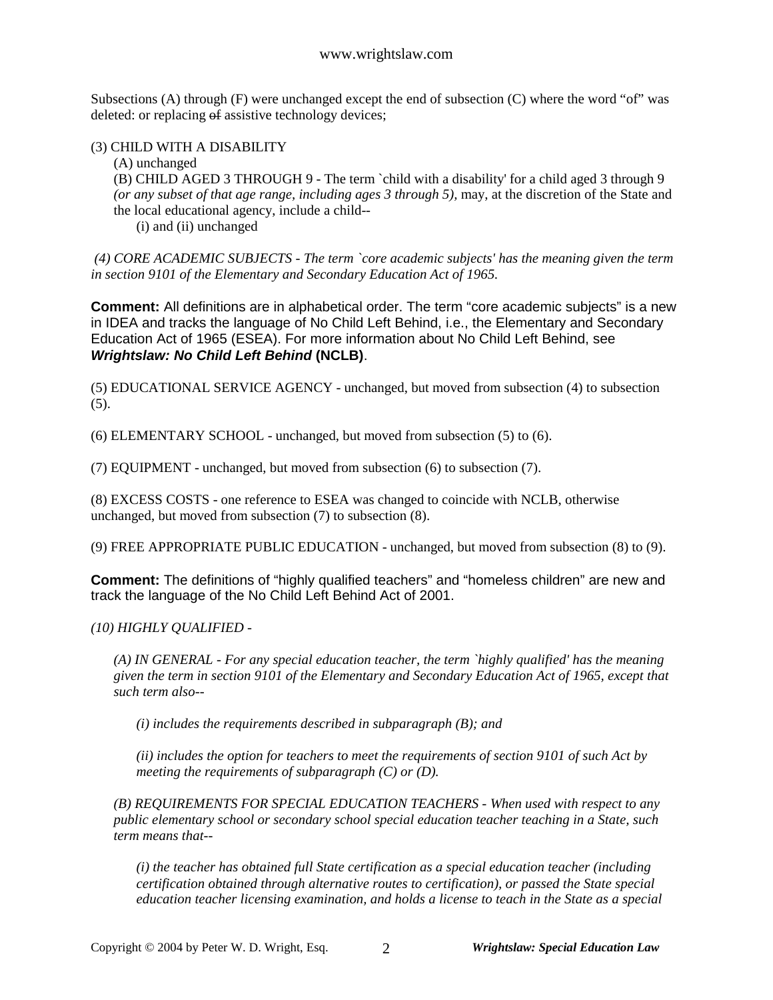Subsections (A) through (F) were unchanged except the end of subsection (C) where the word "of" was deleted: or replacing of assistive technology devices;

(3) CHILD WITH A DISABILITY

(A) unchanged

(B) CHILD AGED 3 THROUGH 9 - The term `child with a disability' for a child aged 3 through 9 *(or any subset of that age range, including ages 3 through 5),* may, at the discretion of the State and the local educational agency, include a child--

(i) and (ii) unchanged

 *(4) CORE ACADEMIC SUBJECTS - The term `core academic subjects' has the meaning given the term in section 9101 of the Elementary and Secondary Education Act of 1965.* 

**Comment:** All definitions are in alphabetical order. The term "core academic subjects" is a new in IDEA and tracks the language of No Child Left Behind, i.e., the Elementary and Secondary Education Act of 1965 (ESEA). For more information about No Child Left Behind, see *Wrightslaw: No Child Left Behind* **(NCLB)**.

(5) EDUCATIONAL SERVICE AGENCY - unchanged, but moved from subsection (4) to subsection (5).

(6) ELEMENTARY SCHOOL - unchanged, but moved from subsection (5) to (6).

(7) EQUIPMENT - unchanged, but moved from subsection (6) to subsection (7).

(8) EXCESS COSTS - one reference to ESEA was changed to coincide with NCLB, otherwise unchanged, but moved from subsection (7) to subsection (8).

(9) FREE APPROPRIATE PUBLIC EDUCATION - unchanged, but moved from subsection (8) to (9).

**Comment:** The definitions of "highly qualified teachers" and "homeless children" are new and track the language of the No Child Left Behind Act of 2001.

*(10) HIGHLY QUALIFIED -* 

*(A) IN GENERAL - For any special education teacher, the term `highly qualified' has the meaning given the term in section 9101 of the Elementary and Secondary Education Act of 1965, except that such term also--* 

*(i) includes the requirements described in subparagraph (B); and* 

*(ii) includes the option for teachers to meet the requirements of section 9101 of such Act by meeting the requirements of subparagraph (C) or (D).* 

*(B) REQUIREMENTS FOR SPECIAL EDUCATION TEACHERS - When used with respect to any public elementary school or secondary school special education teacher teaching in a State, such term means that--* 

*(i) the teacher has obtained full State certification as a special education teacher (including certification obtained through alternative routes to certification), or passed the State special education teacher licensing examination, and holds a license to teach in the State as a special*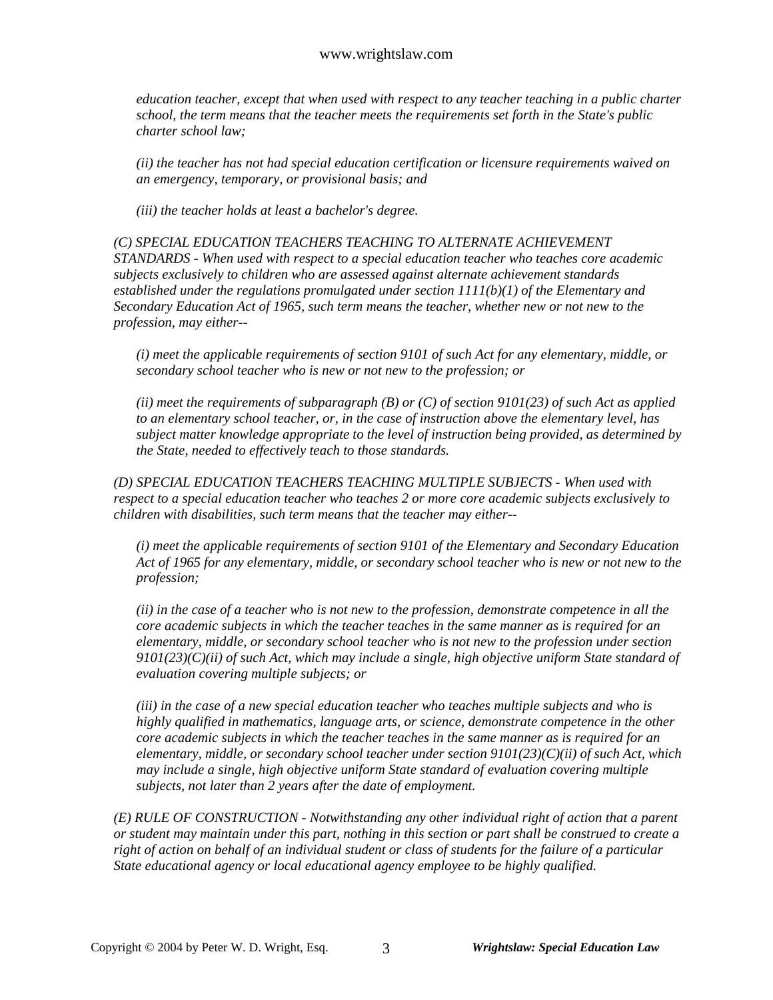*education teacher, except that when used with respect to any teacher teaching in a public charter school, the term means that the teacher meets the requirements set forth in the State's public charter school law;* 

*(ii) the teacher has not had special education certification or licensure requirements waived on an emergency, temporary, or provisional basis; and* 

*(iii) the teacher holds at least a bachelor's degree.* 

*(C) SPECIAL EDUCATION TEACHERS TEACHING TO ALTERNATE ACHIEVEMENT STANDARDS - When used with respect to a special education teacher who teaches core academic subjects exclusively to children who are assessed against alternate achievement standards established under the regulations promulgated under section 1111(b)(1) of the Elementary and Secondary Education Act of 1965, such term means the teacher, whether new or not new to the profession, may either--* 

*(i) meet the applicable requirements of section 9101 of such Act for any elementary, middle, or secondary school teacher who is new or not new to the profession; or* 

*(ii) meet the requirements of subparagraph (B) or (C) of section 9101(23) of such Act as applied to an elementary school teacher, or, in the case of instruction above the elementary level, has subject matter knowledge appropriate to the level of instruction being provided, as determined by the State, needed to effectively teach to those standards.* 

*(D) SPECIAL EDUCATION TEACHERS TEACHING MULTIPLE SUBJECTS - When used with respect to a special education teacher who teaches 2 or more core academic subjects exclusively to children with disabilities, such term means that the teacher may either--* 

*(i) meet the applicable requirements of section 9101 of the Elementary and Secondary Education Act of 1965 for any elementary, middle, or secondary school teacher who is new or not new to the profession;* 

*(ii) in the case of a teacher who is not new to the profession, demonstrate competence in all the core academic subjects in which the teacher teaches in the same manner as is required for an elementary, middle, or secondary school teacher who is not new to the profession under section 9101(23)(C)(ii) of such Act, which may include a single, high objective uniform State standard of evaluation covering multiple subjects; or* 

*(iii) in the case of a new special education teacher who teaches multiple subjects and who is highly qualified in mathematics, language arts, or science, demonstrate competence in the other core academic subjects in which the teacher teaches in the same manner as is required for an elementary, middle, or secondary school teacher under section 9101(23)(C)(ii) of such Act, which may include a single, high objective uniform State standard of evaluation covering multiple subjects, not later than 2 years after the date of employment.* 

*(E) RULE OF CONSTRUCTION - Notwithstanding any other individual right of action that a parent or student may maintain under this part, nothing in this section or part shall be construed to create a right of action on behalf of an individual student or class of students for the failure of a particular State educational agency or local educational agency employee to be highly qualified.*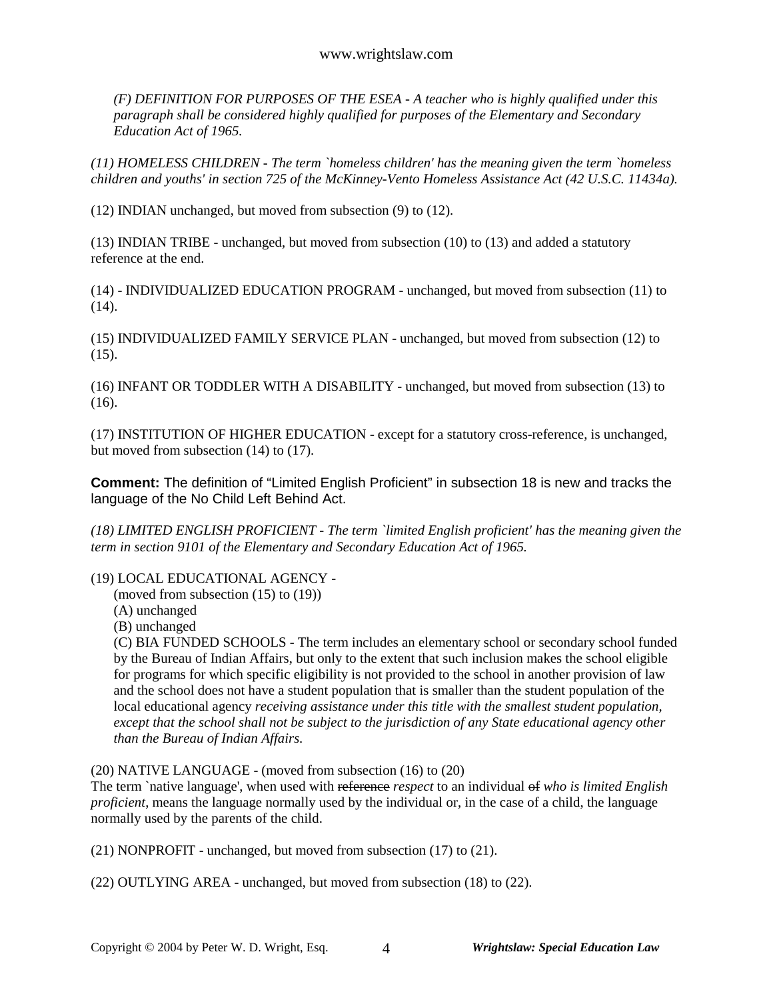*(F) DEFINITION FOR PURPOSES OF THE ESEA - A teacher who is highly qualified under this paragraph shall be considered highly qualified for purposes of the Elementary and Secondary Education Act of 1965.* 

*(11) HOMELESS CHILDREN - The term `homeless children' has the meaning given the term `homeless children and youths' in section 725 of the McKinney-Vento Homeless Assistance Act (42 U.S.C. 11434a).* 

(12) INDIAN unchanged, but moved from subsection (9) to (12).

(13) INDIAN TRIBE - unchanged, but moved from subsection (10) to (13) and added a statutory reference at the end.

(14) - INDIVIDUALIZED EDUCATION PROGRAM - unchanged, but moved from subsection (11) to  $(14)$ .

(15) INDIVIDUALIZED FAMILY SERVICE PLAN - unchanged, but moved from subsection (12) to  $(15)$ .

(16) INFANT OR TODDLER WITH A DISABILITY - unchanged, but moved from subsection (13) to (16).

(17) INSTITUTION OF HIGHER EDUCATION - except for a statutory cross-reference, is unchanged, but moved from subsection (14) to (17).

**Comment:** The definition of "Limited English Proficient" in subsection 18 is new and tracks the language of the No Child Left Behind Act.

*(18) LIMITED ENGLISH PROFICIENT - The term `limited English proficient' has the meaning given the term in section 9101 of the Elementary and Secondary Education Act of 1965.* 

### (19) LOCAL EDUCATIONAL AGENCY -

(moved from subsection (15) to (19))

- (A) unchanged
- (B) unchanged

(C) BIA FUNDED SCHOOLS - The term includes an elementary school or secondary school funded by the Bureau of Indian Affairs, but only to the extent that such inclusion makes the school eligible for programs for which specific eligibility is not provided to the school in another provision of law and the school does not have a student population that is smaller than the student population of the local educational agency *receiving assistance under this title with the smallest student population, except that the school shall not be subject to the jurisdiction of any State educational agency other than the Bureau of Indian Affairs.*

(20) NATIVE LANGUAGE - (moved from subsection (16) to (20)

The term `native language', when used with reference *respect* to an individual of *who is limited English proficient*, means the language normally used by the individual or, in the case of a child, the language normally used by the parents of the child.

(21) NONPROFIT - unchanged, but moved from subsection (17) to (21).

(22) OUTLYING AREA - unchanged, but moved from subsection (18) to (22).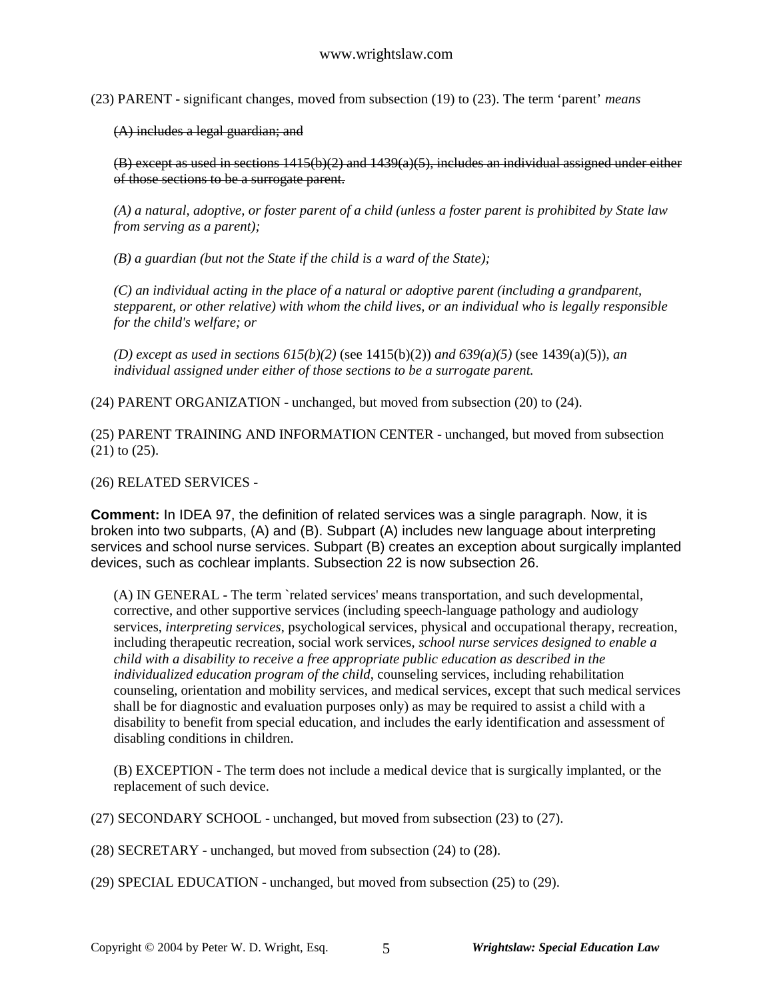(23) PARENT - significant changes, moved from subsection (19) to (23). The term 'parent' *means*

(A) includes a legal guardian; and

 $(B)$  except as used in sections  $1415(b)(2)$  and  $1439(a)(5)$ , includes an individual assigned under either of those sections to be a surrogate parent.

*(A) a natural, adoptive, or foster parent of a child (unless a foster parent is prohibited by State law from serving as a parent);* 

*(B) a guardian (but not the State if the child is a ward of the State);* 

*(C) an individual acting in the place of a natural or adoptive parent (including a grandparent, stepparent, or other relative) with whom the child lives, or an individual who is legally responsible for the child's welfare; or* 

*(D) except as used in sections 615(b)(2)* (see 1415(b)(2)) *and 639(a)(5)* (see 1439(a)(5)), *an individual assigned under either of those sections to be a surrogate parent.* 

(24) PARENT ORGANIZATION - unchanged, but moved from subsection (20) to (24).

(25) PARENT TRAINING AND INFORMATION CENTER - unchanged, but moved from subsection (21) to (25).

(26) RELATED SERVICES -

**Comment:** In IDEA 97, the definition of related services was a single paragraph. Now, it is broken into two subparts, (A) and (B). Subpart (A) includes new language about interpreting services and school nurse services. Subpart (B) creates an exception about surgically implanted devices, such as cochlear implants. Subsection 22 is now subsection 26.

(A) IN GENERAL - The term `related services' means transportation, and such developmental, corrective, and other supportive services (including speech-language pathology and audiology services, *interpreting services*, psychological services, physical and occupational therapy, recreation, including therapeutic recreation, social work services, *school nurse services designed to enable a child with a disability to receive a free appropriate public education as described in the individualized education program of the child*, counseling services, including rehabilitation counseling, orientation and mobility services, and medical services, except that such medical services shall be for diagnostic and evaluation purposes only) as may be required to assist a child with a disability to benefit from special education, and includes the early identification and assessment of disabling conditions in children.

(B) EXCEPTION - The term does not include a medical device that is surgically implanted, or the replacement of such device.

(27) SECONDARY SCHOOL - unchanged, but moved from subsection (23) to (27).

(28) SECRETARY - unchanged, but moved from subsection (24) to (28).

(29) SPECIAL EDUCATION - unchanged, but moved from subsection (25) to (29).